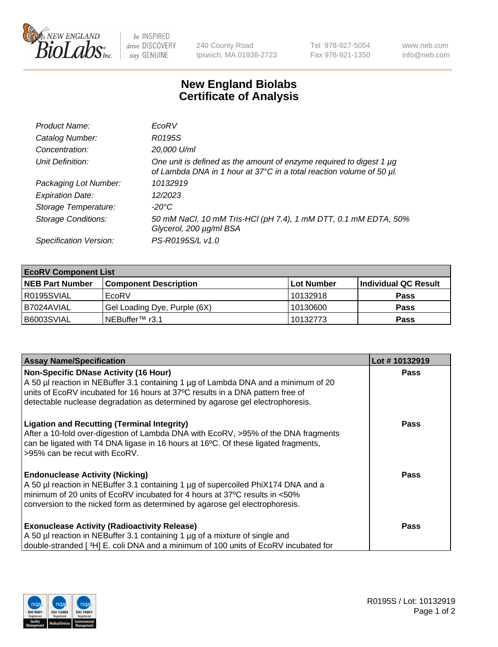

 $be$  INSPIRED drive DISCOVERY stay GENUINE

240 County Road Ipswich, MA 01938-2723 Tel 978-927-5054 Fax 978-921-1350 www.neb.com info@neb.com

## **New England Biolabs Certificate of Analysis**

| Product Name:              | EcoRV                                                                                                                                       |
|----------------------------|---------------------------------------------------------------------------------------------------------------------------------------------|
| Catalog Number:            | R0195S                                                                                                                                      |
| Concentration:             | 20,000 U/ml                                                                                                                                 |
| Unit Definition:           | One unit is defined as the amount of enzyme required to digest 1 µg<br>of Lambda DNA in 1 hour at 37°C in a total reaction volume of 50 µl. |
| Packaging Lot Number:      | 10132919                                                                                                                                    |
| <b>Expiration Date:</b>    | 12/2023                                                                                                                                     |
| Storage Temperature:       | $-20^{\circ}$ C                                                                                                                             |
| <b>Storage Conditions:</b> | 50 mM NaCl, 10 mM Tris-HCl (pH 7.4), 1 mM DTT, 0.1 mM EDTA, 50%<br>Glycerol, 200 µg/ml BSA                                                  |
| Specification Version:     | PS-R0195S/L v1.0                                                                                                                            |

| <b>EcoRV Component List</b> |                              |            |                      |  |  |
|-----------------------------|------------------------------|------------|----------------------|--|--|
| <b>NEB Part Number</b>      | <b>Component Description</b> | Lot Number | Individual QC Result |  |  |
| R0195SVIAL                  | EcoRV                        | 10132918   | <b>Pass</b>          |  |  |
| I B7024AVIAL                | Gel Loading Dye, Purple (6X) | 10130600   | <b>Pass</b>          |  |  |
| B6003SVIAL                  | INEBuffer™ r3.1              | 10132773   | <b>Pass</b>          |  |  |

| <b>Assay Name/Specification</b>                                                                                                    | Lot #10132919 |
|------------------------------------------------------------------------------------------------------------------------------------|---------------|
| <b>Non-Specific DNase Activity (16 Hour)</b><br>A 50 µl reaction in NEBuffer 3.1 containing 1 µg of Lambda DNA and a minimum of 20 | <b>Pass</b>   |
| units of EcoRV incubated for 16 hours at 37°C results in a DNA pattern free of                                                     |               |
| detectable nuclease degradation as determined by agarose gel electrophoresis.                                                      |               |
| <b>Ligation and Recutting (Terminal Integrity)</b>                                                                                 | Pass          |
| After a 10-fold over-digestion of Lambda DNA with EcoRV, >95% of the DNA fragments                                                 |               |
| can be ligated with T4 DNA ligase in 16 hours at 16 $\degree$ C. Of these ligated fragments,<br>595% can be recut with EcoRV.      |               |
|                                                                                                                                    |               |
| <b>Endonuclease Activity (Nicking)</b>                                                                                             | Pass          |
| A 50 µl reaction in NEBuffer 3.1 containing 1 µg of supercoiled PhiX174 DNA and a                                                  |               |
| minimum of 20 units of EcoRV incubated for 4 hours at 37°C results in <50%                                                         |               |
| conversion to the nicked form as determined by agarose gel electrophoresis.                                                        |               |
| <b>Exonuclease Activity (Radioactivity Release)</b>                                                                                | Pass          |
| A 50 µl reaction in NEBuffer 3.1 containing 1 µg of a mixture of single and                                                        |               |
| double-stranded [ <sup>3</sup> H] E. coli DNA and a minimum of 100 units of EcoRV incubated for                                    |               |